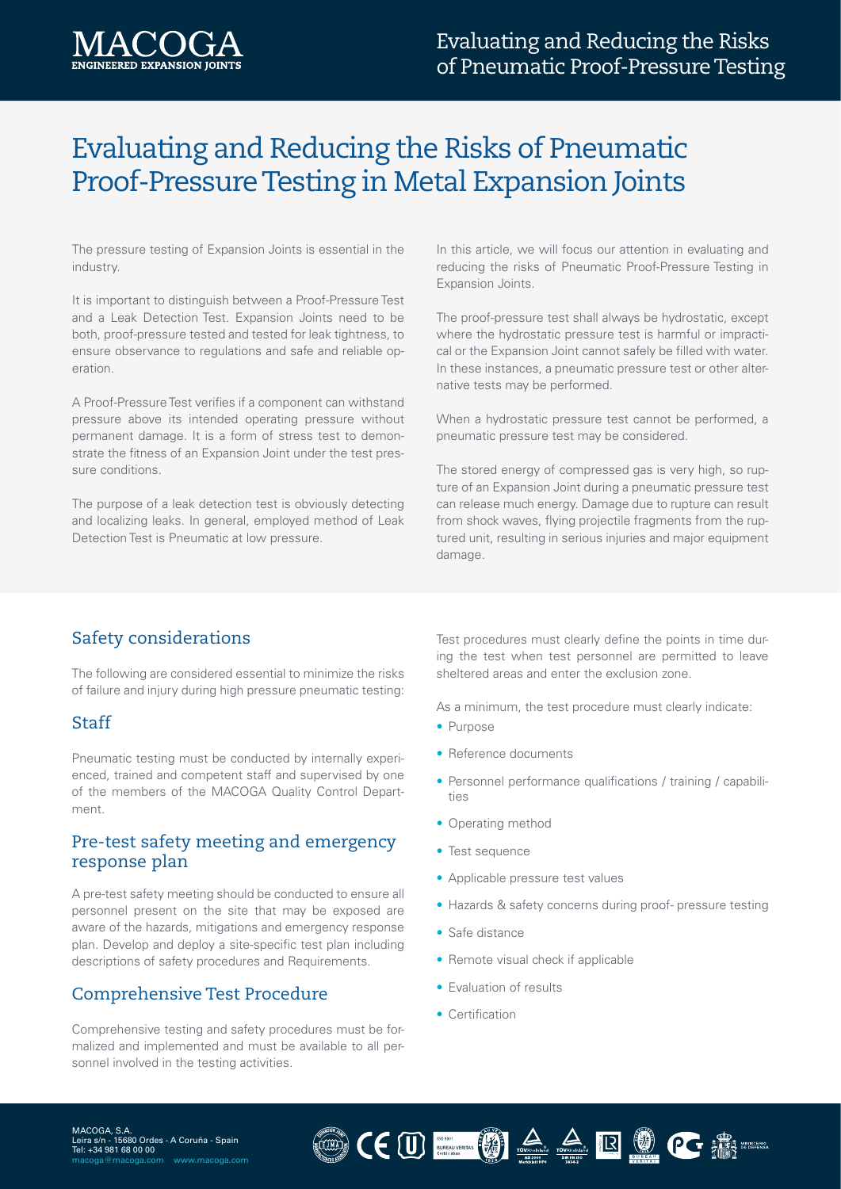

# Evaluating and Reducing the Risks of Pneumatic Proof-Pressure Testing in Metal Expansion Joints

The pressure testing of Expansion Joints is essential in the industry.

It is important to distinguish between a Proof-Pressure Test and a Leak Detection Test. Expansion Joints need to be both, proof-pressure tested and tested for leak tightness, to ensure observance to regulations and safe and reliable operation.

A Proof-Pressure Test verifies if a component can withstand pressure above its intended operating pressure without permanent damage. It is a form of stress test to demonstrate the fitness of an Expansion Joint under the test pressure conditions.

The purpose of a leak detection test is obviously detecting and localizing leaks. In general, employed method of Leak Detection Test is Pneumatic at low pressure.

In this article, we will focus our attention in evaluating and reducing the risks of Pneumatic Proof-Pressure Testing in Expansion Joints.

The proof-pressure test shall always be hydrostatic, except where the hydrostatic pressure test is harmful or impractical or the Expansion Joint cannot safely be filled with water. In these instances, a pneumatic pressure test or other alternative tests may be performed.

When a hydrostatic pressure test cannot be performed, a pneumatic pressure test may be considered.

The stored energy of compressed gas is very high, so rupture of an Expansion Joint during a pneumatic pressure test can release much energy. Damage due to rupture can result from shock waves, flying projectile fragments from the ruptured unit, resulting in serious injuries and major equipment damage.

## Safety considerations

The following are considered essential to minimize the risks of failure and injury during high pressure pneumatic testing:

#### **Staff**

Pneumatic testing must be conducted by internally experienced, trained and competent staff and supervised by one of the members of the MACOGA Quality Control Department.

#### Pre-test safety meeting and emergency response plan

A pre-test safety meeting should be conducted to ensure all personnel present on the site that may be exposed are aware of the hazards, mitigations and emergency response plan. Develop and deploy a site-specific test plan including descriptions of safety procedures and Requirements.

## Comprehensive Test Procedure

Comprehensive testing and safety procedures must be formalized and implemented and must be available to all personnel involved in the testing activities.

Test procedures must clearly define the points in time during the test when test personnel are permitted to leave sheltered areas and enter the exclusion zone.

As a minimum, the test procedure must clearly indicate:

- Purpose
- Reference documents
- Personnel performance qualifications / training / capabilities
- Operating method
- Test sequence
- Applicable pressure test values
- Hazards & safety concerns during proof- pressure testing
- Safe distance
- Remote visual check if applicable

OCULTUS AARRI

- Evaluation of results
- Certification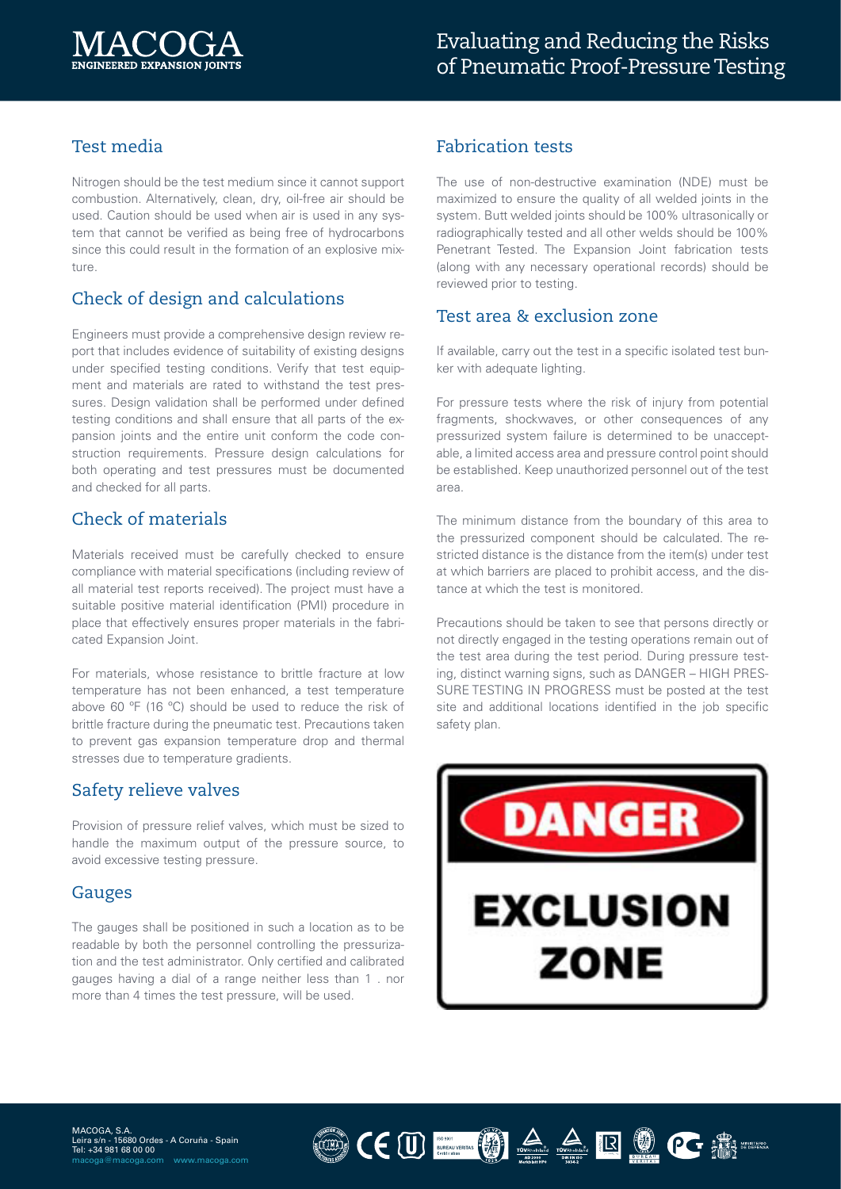

# Test media

Nitrogen should be the test medium since it cannot support combustion. Alternatively, clean, dry, oil-free air should be used. Caution should be used when air is used in any system that cannot be verified as being free of hydrocarbons since this could result in the formation of an explosive mixture.

## Check of design and calculations

Engineers must provide a comprehensive design review report that includes evidence of suitability of existing designs under specified testing conditions. Verify that test equipment and materials are rated to withstand the test pressures. Design validation shall be performed under defined testing conditions and shall ensure that all parts of the expansion joints and the entire unit conform the code construction requirements. Pressure design calculations for both operating and test pressures must be documented and checked for all parts.

## Check of materials

Materials received must be carefully checked to ensure compliance with material specifications (including review of all material test reports received). The project must have a suitable positive material identification (PMI) procedure in place that effectively ensures proper materials in the fabricated Expansion Joint.

For materials, whose resistance to brittle fracture at low temperature has not been enhanced, a test temperature above 60 ºF (16 ºC) should be used to reduce the risk of brittle fracture during the pneumatic test. Precautions taken to prevent gas expansion temperature drop and thermal stresses due to temperature gradients.

#### Safety relieve valves

Provision of pressure relief valves, which must be sized to handle the maximum output of the pressure source, to avoid excessive testing pressure.

## Gauges

The gauges shall be positioned in such a location as to be readable by both the personnel controlling the pressurization and the test administrator. Only certified and calibrated gauges having a dial of a range neither less than 1 . nor more than 4 times the test pressure, will be used.

## Fabrication tests

The use of non-destructive examination (NDE) must be maximized to ensure the quality of all welded joints in the system. Butt welded joints should be 100% ultrasonically or radiographically tested and all other welds should be 100% Penetrant Tested. The Expansion Joint fabrication tests (along with any necessary operational records) should be reviewed prior to testing.

#### Test area & exclusion zone

If available, carry out the test in a specific isolated test bunker with adequate lighting.

For pressure tests where the risk of injury from potential fragments, shockwaves, or other consequences of any pressurized system failure is determined to be unacceptable, a limited access area and pressure control point should be established. Keep unauthorized personnel out of the test area.

The minimum distance from the boundary of this area to the pressurized component should be calculated. The restricted distance is the distance from the item(s) under test at which barriers are placed to prohibit access, and the distance at which the test is monitored.

Precautions should be taken to see that persons directly or not directly engaged in the testing operations remain out of the test area during the test period. During pressure testing, distinct warning signs, such as DANGER – HIGH PRES-SURE TESTING IN PROGRESS must be posted at the test site and additional locations identified in the job specific safety plan.



OCULTURY AARRIVER